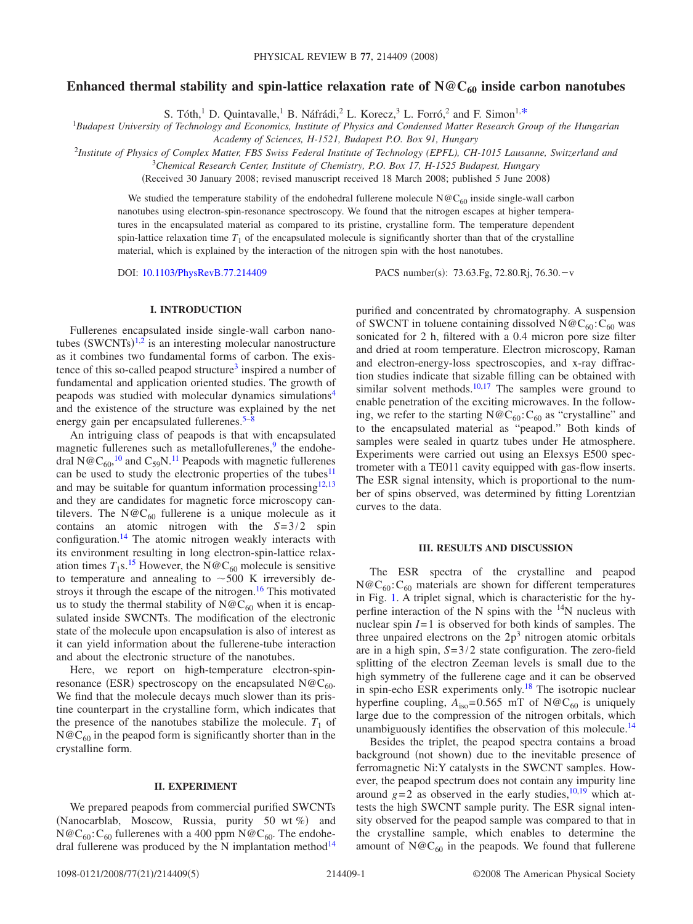# Enhanced thermal stability and spin-lattice relaxation rate of  $N@C_{60}$  inside carbon nanotubes

S. Tóth,<sup>1</sup> D. Quintavalle,<sup>1</sup> B. Náfrádi,<sup>2</sup> L. Korecz,<sup>3</sup> L. Forró,<sup>2</sup> and F. Simon<sup>1[,\\*](#page-3-0)</sup>

*Budapest University of Technology and Economics, Institute of Physics and Condensed Matter Research Group of the Hungarian*

*Academy of Sciences, H-1521, Budapest P.O. Box 91, Hungary*

<sup>2</sup>*Institute of Physics of Complex Matter, FBS Swiss Federal Institute of Technology (EPFL), CH-1015 Lausanne, Switzerland and*

<sup>3</sup>*Chemical Research Center, Institute of Chemistry, P.O. Box 17, H-1525 Budapest, Hungary*

(Received 30 January 2008; revised manuscript received 18 March 2008; published 5 June 2008)

We studied the temperature stability of the endohedral fullerene molecule  $N@C_{60}$  inside single-wall carbon nanotubes using electron-spin-resonance spectroscopy. We found that the nitrogen escapes at higher temperatures in the encapsulated material as compared to its pristine, crystalline form. The temperature dependent spin-lattice relaxation time  $T_1$  of the encapsulated molecule is significantly shorter than that of the crystalline material, which is explained by the interaction of the nitrogen spin with the host nanotubes.

DOI: [10.1103/PhysRevB.77.214409](http://dx.doi.org/10.1103/PhysRevB.77.214409)

PACS number(s): 73.63.Fg, 72.80.Rj, 76.30.-v

## **I. INTRODUCTION**

Fullerenes encapsulated inside single-wall carbon nanotubes  $(SWCNTs)^{1,2}$  $(SWCNTs)^{1,2}$  $(SWCNTs)^{1,2}$  $(SWCNTs)^{1,2}$  is an interesting molecular nanostructure as it combines two fundamental forms of carbon. The existence of this so-called peapod structure<sup>3</sup> inspired a number of fundamental and application oriented studies. The growth of peapods was studied with molecular dynamics simulation[s4](#page-3-4) and the existence of the structure was explained by the net energy gain per encapsulated fullerenes.<sup>5–[8](#page-3-6)</sup>

An intriguing class of peapods is that with encapsulated magnetic fullerenes such as metallofullerenes, $9$  the endohe-dral N@C<sub>60</sub>,<sup>[10](#page-3-8)</sup> and C<sub>59</sub>N.<sup>[11](#page-3-9)</sup> Peapods with magnetic fullerenes can be used to study the electronic properties of the tubes<sup>11</sup> and may be suitable for quantum information processing $12,13$  $12,13$ and they are candidates for magnetic force microscopy cantilevers. The N@C<sub>60</sub> fullerene is a unique molecule as it contains an atomic nitrogen with the *S*=3/2 spin configuration[.14](#page-3-12) The atomic nitrogen weakly interacts with its environment resulting in long electron-spin-lattice relaxation times  $T_1$ s.<sup>15</sup> However, the N@C<sub>60</sub> molecule is sensitive to temperature and annealing to  $\sim$  500 K irreversibly destroys it through the escape of the nitrogen.<sup>16</sup> This motivated us to study the thermal stability of  $N@C_{60}$  when it is encapsulated inside SWCNTs. The modification of the electronic state of the molecule upon encapsulation is also of interest as it can yield information about the fullerene-tube interaction and about the electronic structure of the nanotubes.

Here, we report on high-temperature electron-spinresonance (ESR) spectroscopy on the encapsulated  $N@C_{60}$ . We find that the molecule decays much slower than its pristine counterpart in the crystalline form, which indicates that the presence of the nanotubes stabilize the molecule.  $T_1$  of  $N@C_{60}$  in the peapod form is significantly shorter than in the crystalline form.

### **II. EXPERIMENT**

We prepared peapods from commercial purified SWCNTs (Nanocarblab, Moscow, Russia, purity 50 wt %) and  $N@C_{60}$ : C<sub>60</sub> fullerenes with a 400 ppm  $N@C_{60}$ . The endohedral fullerene was produced by the N implantation method<sup>14</sup> purified and concentrated by chromatography. A suspension of SWCNT in toluene containing dissolved  $N@C_{60}$ : C<sub>60</sub> was sonicated for 2 h, filtered with a 0.4 micron pore size filter and dried at room temperature. Electron microscopy, Raman and electron-energy-loss spectroscopies, and x-ray diffraction studies indicate that sizable filling can be obtained with similar solvent methods. $10,17$  $10,17$  The samples were ground to enable penetration of the exciting microwaves. In the following, we refer to the starting  $N@C_{60}$ :  $C_{60}$  as "crystalline" and to the encapsulated material as "peapod." Both kinds of samples were sealed in quartz tubes under He atmosphere. Experiments were carried out using an Elexsys E500 spectrometer with a TE011 cavity equipped with gas-flow inserts. The ESR signal intensity, which is proportional to the number of spins observed, was determined by fitting Lorentzian curves to the data.

#### **III. RESULTS AND DISCUSSION**

The ESR spectra of the crystalline and peapod  $N@C_{60}$ : C<sub>60</sub> materials are shown for different temperatures in Fig. [1.](#page-1-0) A triplet signal, which is characteristic for the hyperfine interaction of the N spins with the  $14N$  nucleus with nuclear spin *I*=1 is observed for both kinds of samples. The three unpaired electrons on the  $2p<sup>3</sup>$  nitrogen atomic orbitals are in a high spin, *S*=3/2 state configuration. The zero-field splitting of the electron Zeeman levels is small due to the high symmetry of the fullerene cage and it can be observed in spin-echo ESR experiments only[.18](#page-3-16) The isotropic nuclear hyperfine coupling,  $A_{iso} = 0.565$  mT of N@C<sub>60</sub> is uniquely large due to the compression of the nitrogen orbitals, which unambiguously identifies the observation of this molecule.<sup>14</sup>

Besides the triplet, the peapod spectra contains a broad background (not shown) due to the inevitable presence of ferromagnetic Ni:Y catalysts in the SWCNT samples. However, the peapod spectrum does not contain any impurity line around  $g=2$  as observed in the early studies,<sup>10,[19](#page-3-17)</sup> which attests the high SWCNT sample purity. The ESR signal intensity observed for the peapod sample was compared to that in the crystalline sample, which enables to determine the amount of  $N@C_{60}$  in the peapods. We found that fullerene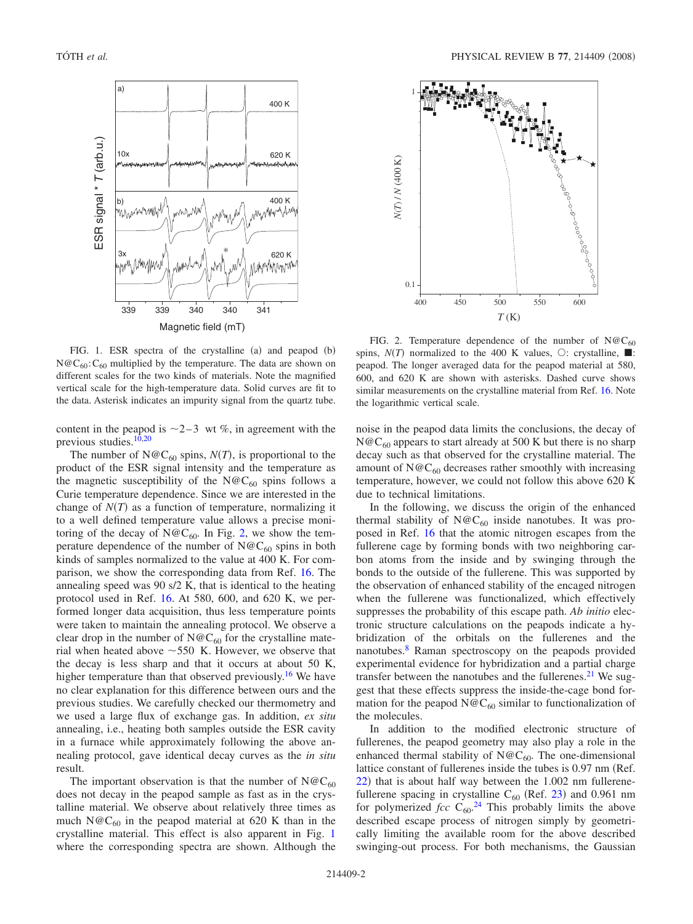<span id="page-1-0"></span>

FIG. 1. ESR spectra of the crystalline  $(a)$  and peapod  $(b)$  $N@C_{60}$ : C<sub>60</sub> multiplied by the temperature. The data are shown on different scales for the two kinds of materials. Note the magnified vertical scale for the high-temperature data. Solid curves are fit to the data. Asterisk indicates an impurity signal from the quartz tube.

content in the peapod is  $\sim$  2–3 wt %, in agreement with the previous studies[.10](#page-3-8)[,20](#page-3-18)

The number of  $N@C_{60}$  spins,  $N(T)$ , is proportional to the product of the ESR signal intensity and the temperature as the magnetic susceptibility of the  $N@C_{60}$  spins follows a Curie temperature dependence. Since we are interested in the change of  $N(T)$  as a function of temperature, normalizing it to a well defined temperature value allows a precise moni-toring of the decay of N@C<sub>60</sub>. In Fig. [2,](#page-1-1) we show the temperature dependence of the number of  $N@C_{60}$  spins in both kinds of samples normalized to the value at 400 K. For comparison, we show the corresponding data from Ref. [16.](#page-3-14) The annealing speed was 90 s/2 K, that is identical to the heating protocol used in Ref. [16.](#page-3-14) At 580, 600, and 620 K, we performed longer data acquisition, thus less temperature points were taken to maintain the annealing protocol. We observe a clear drop in the number of  $N@C_{60}$  for the crystalline material when heated above  $\sim$  550 K. However, we observe that the decay is less sharp and that it occurs at about 50 K, higher temperature than that observed previously.<sup>16</sup> We have no clear explanation for this difference between ours and the previous studies. We carefully checked our thermometry and we used a large flux of exchange gas. In addition, *ex situ* annealing, i.e., heating both samples outside the ESR cavity in a furnace while approximately following the above annealing protocol, gave identical decay curves as the *in situ* result.

The important observation is that the number of  $N@C_{60}$ does not decay in the peapod sample as fast as in the crystalline material. We observe about relatively three times as much  $N@C_{60}$  in the peapod material at 620 K than in the crystalline material. This effect is also apparent in Fig. [1](#page-1-0) where the corresponding spectra are shown. Although the

<span id="page-1-1"></span>

FIG. 2. Temperature dependence of the number of  $N@C_{60}$ spins,  $N(T)$  normalized to the 400 K values,  $\circ$ : crystalline,  $\blacksquare$ : peapod. The longer averaged data for the peapod material at 580, 600, and 620 K are shown with asterisks. Dashed curve shows similar measurements on the crystalline material from Ref. [16.](#page-3-14) Note the logarithmic vertical scale.

noise in the peapod data limits the conclusions, the decay of  $N@C_{60}$  appears to start already at 500 K but there is no sharp decay such as that observed for the crystalline material. The amount of  $N@C_{60}$  decreases rather smoothly with increasing temperature, however, we could not follow this above 620 K due to technical limitations.

In the following, we discuss the origin of the enhanced thermal stability of  $N@C_{60}$  inside nanotubes. It was proposed in Ref. [16](#page-3-14) that the atomic nitrogen escapes from the fullerene cage by forming bonds with two neighboring carbon atoms from the inside and by swinging through the bonds to the outside of the fullerene. This was supported by the observation of enhanced stability of the encaged nitrogen when the fullerene was functionalized, which effectively suppresses the probability of this escape path. *Ab initio* electronic structure calculations on the peapods indicate a hybridization of the orbitals on the fullerenes and the nanotubes[.8](#page-3-6) Raman spectroscopy on the peapods provided experimental evidence for hybridization and a partial charge transfer between the nanotubes and the fullerenes. $^{21}$  We suggest that these effects suppress the inside-the-cage bond formation for the peapod  $N@C_{60}$  similar to functionalization of the molecules.

In addition to the modified electronic structure of fullerenes, the peapod geometry may also play a role in the enhanced thermal stability of N@C<sub>60</sub>. The one-dimensional lattice constant of fullerenes inside the tubes is 0.97 nm (Ref.  $22$ ) that is about half way between the 1.002 nm fullerenefullerene spacing in crystalline  $C_{60}$  (Ref. [23](#page-4-1)) and 0.961 nm for polymerized  $fcc \, C_{60}$ <sup>[24](#page-4-2)</sup> This probably limits the above described escape process of nitrogen simply by geometrically limiting the available room for the above described swinging-out process. For both mechanisms, the Gaussian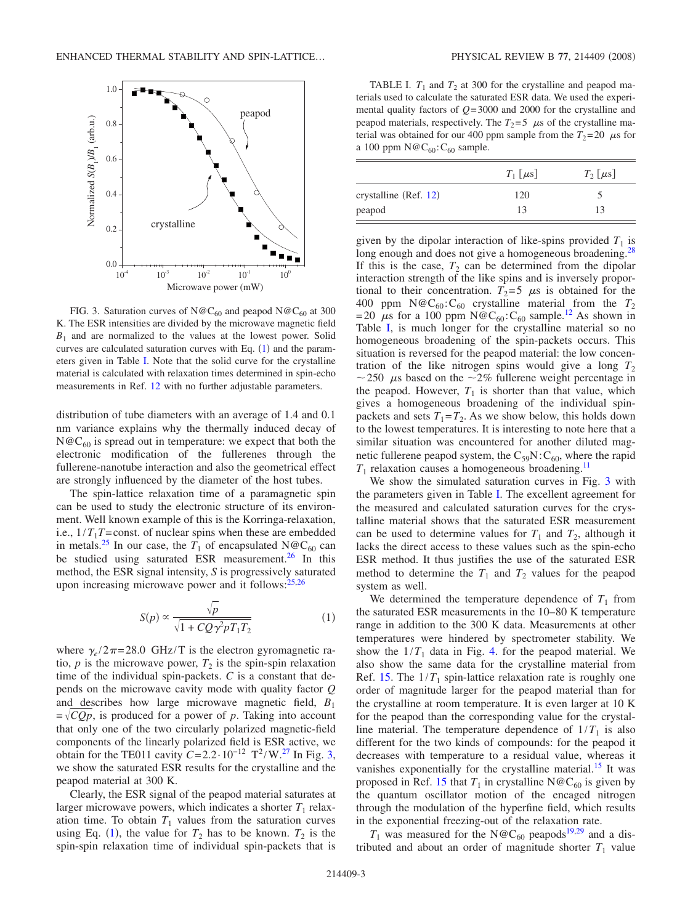<span id="page-2-0"></span>

FIG. 3. Saturation curves of N@C<sub>60</sub> and peapod N@C<sub>60</sub> at 300 K. The ESR intensities are divided by the microwave magnetic field  $B_1$  and are normalized to the values at the lowest power. Solid curves are calculated saturation curves with Eq.  $(1)$  $(1)$  $(1)$  and the parameters given in Table [I.](#page-2-2) Note that the solid curve for the crystalline material is calculated with relaxation times determined in spin-echo measurements in Ref. [12](#page-3-10) with no further adjustable parameters.

distribution of tube diameters with an average of 1.4 and 0.1 nm variance explains why the thermally induced decay of  $N@C_{60}$  is spread out in temperature: we expect that both the electronic modification of the fullerenes through the fullerene-nanotube interaction and also the geometrical effect are strongly influenced by the diameter of the host tubes.

The spin-lattice relaxation time of a paramagnetic spin can be used to study the electronic structure of its environment. Well known example of this is the Korringa-relaxation, i.e.,  $1/T_1T$ =const. of nuclear spins when these are embedded in metals.<sup>25</sup> In our case, the  $T_1$  of encapsulated N@C<sub>60</sub> can be studied using saturated ESR measurement.<sup>26</sup> In this method, the ESR signal intensity, *S* is progressively saturated upon increasing microwave power and it follows: $25,26$  $25,26$ 

$$
S(p) \propto \frac{\sqrt{p}}{\sqrt{1 + CQ\gamma^2 p T_1 T_2}}\tag{1}
$$

<span id="page-2-1"></span>where  $\gamma_e/2\pi = 28.0$  GHz/T is the electron gyromagnetic ratio,  $p$  is the microwave power,  $T_2$  is the spin-spin relaxation time of the individual spin-packets. *C* is a constant that depends on the microwave cavity mode with quality factor *Q* and describes how large microwave magnetic field,  $B_1$  $=\sqrt{CQp}$ , is produced for a power of *p*. Taking into account that only one of the two circularly polarized magnetic-field components of the linearly polarized field is ESR active, we obtain for the TE011 cavity  $C = 2.2 \cdot 10^{-12}$  T<sup>2</sup>/W.<sup>[27](#page-4-5)</sup> In Fig. [3,](#page-2-0) we show the saturated ESR results for the crystalline and the peapod material at 300 K.

Clearly, the ESR signal of the peapod material saturates at larger microwave powers, which indicates a shorter  $T_1$  relaxation time. To obtain  $T_1$  values from the saturation curves using Eq. ([1](#page-2-1)), the value for  $T_2$  has to be known.  $T_2$  is the spin-spin relaxation time of individual spin-packets that is

<span id="page-2-2"></span>TABLE I.  $T_1$  and  $T_2$  at 300 for the crystalline and peapod materials used to calculate the saturated ESR data. We used the experimental quality factors of *Q*=3000 and 2000 for the crystalline and peapod materials, respectively. The  $T_2=5$   $\mu$ s of the crystalline material was obtained for our 400 ppm sample from the  $T_2=20 \mu s$  for a 100 ppm  $N@C_{60}$ : C<sub>60</sub> sample.

|                       | $T_1$ [ $\mu$ s] | $T_2$ [ $\mu$ s] |
|-----------------------|------------------|------------------|
| crystalline (Ref. 12) | 120              |                  |
| peapod                | 13               | 13               |

given by the dipolar interaction of like-spins provided  $T_1$  is long enough and does not give a homogeneous broadening.<sup>28</sup> If this is the case,  $T_2$  can be determined from the dipolar interaction strength of the like spins and is inversely proportional to their concentration.  $T_2=5$   $\mu$ s is obtained for the 400 ppm  $N@C_{60}$ : C<sub>60</sub> crystalline material from the  $T_2$ =20  $\mu$ s for a 100 ppm N@C<sub>60</sub>:C<sub>60</sub> sample.<sup>12</sup> As shown in Table [I,](#page-2-2) is much longer for the crystalline material so no homogeneous broadening of the spin-packets occurs. This situation is reversed for the peapod material: the low concentration of the like nitrogen spins would give a long  $T_2$  $\sim$  250  $\mu$ s based on the  $\sim$  2% fullerene weight percentage in the peapod. However,  $T_1$  is shorter than that value, which gives a homogeneous broadening of the individual spinpackets and sets  $T_1 = T_2$ . As we show below, this holds down to the lowest temperatures. It is interesting to note here that a similar situation was encountered for another diluted magnetic fullerene peapod system, the  $C_{50}N:C_{60}$ , where the rapid  $T_1$  relaxation causes a homogeneous broadening.<sup>11</sup>

We show the simulated saturation curves in Fig. [3](#page-2-0) with the parameters given in Table [I.](#page-2-2) The excellent agreement for the measured and calculated saturation curves for the crystalline material shows that the saturated ESR measurement can be used to determine values for  $T_1$  and  $T_2$ , although it lacks the direct access to these values such as the spin-echo ESR method. It thus justifies the use of the saturated ESR method to determine the  $T_1$  and  $T_2$  values for the peapod system as well.

We determined the temperature dependence of  $T_1$  from the saturated ESR measurements in the 10–80 K temperature range in addition to the 300 K data. Measurements at other temperatures were hindered by spectrometer stability. We show the  $1/T_1$  data in Fig. [4.](#page-3-20) for the peapod material. We also show the same data for the crystalline material from Ref. [15.](#page-3-13) The  $1/T_1$  spin-lattice relaxation rate is roughly one order of magnitude larger for the peapod material than for the crystalline at room temperature. It is even larger at 10 K for the peapod than the corresponding value for the crystalline material. The temperature dependence of  $1/T_1$  is also different for the two kinds of compounds: for the peapod it decreases with temperature to a residual value, whereas it vanishes exponentially for the crystalline material.<sup>15</sup> It was proposed in Ref. [15](#page-3-13) that  $T_1$  in crystalline N@C<sub>60</sub> is given by the quantum oscillator motion of the encaged nitrogen through the modulation of the hyperfine field, which results in the exponential freezing-out of the relaxation rate.

 $T_1$  was measured for the N@C<sub>60</sub> peapods<sup>19[,29](#page-4-7)</sup> and a distributed and about an order of magnitude shorter  $T_1$  value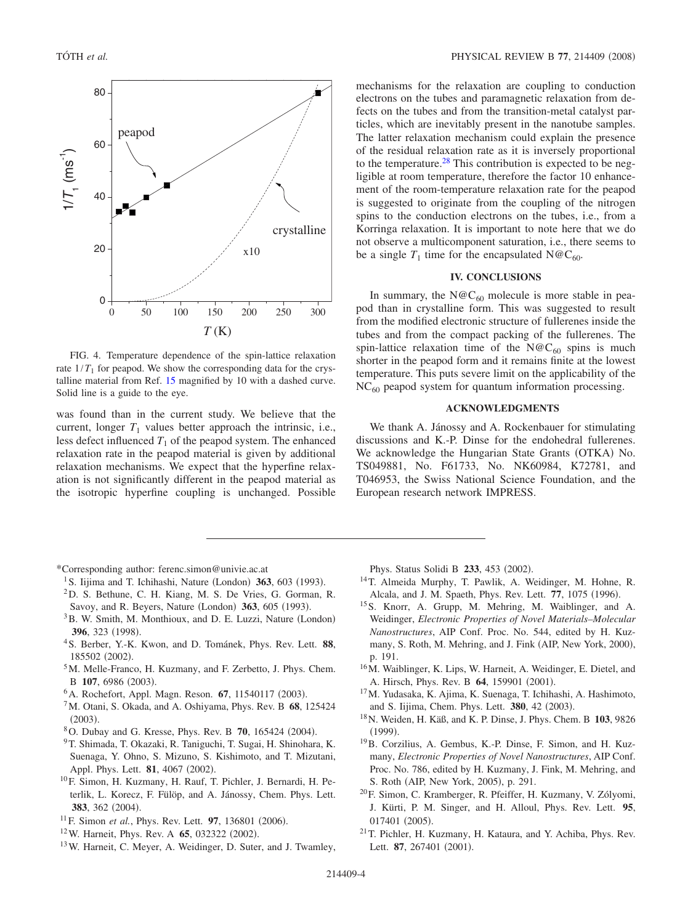<span id="page-3-20"></span>

FIG. 4. Temperature dependence of the spin-lattice relaxation rate  $1/T_1$  for peapod. We show the corresponding data for the crystalline material from Ref. [15](#page-3-13) magnified by 10 with a dashed curve. Solid line is a guide to the eye.

was found than in the current study. We believe that the current, longer  $T_1$  values better approach the intrinsic, i.e., less defect influenced  $T_1$  of the peapod system. The enhanced relaxation rate in the peapod material is given by additional relaxation mechanisms. We expect that the hyperfine relaxation is not significantly different in the peapod material as the isotropic hyperfine coupling is unchanged. Possible

- \*Corresponding author: ferenc.simon@univie.ac.at
- <sup>1</sup> S. Iijima and T. Ichihashi, Nature (London)  $363$ , 603 (1993).
- <span id="page-3-1"></span><span id="page-3-0"></span>2D. S. Bethune, C. H. Kiang, M. S. De Vries, G. Gorman, R. Savoy, and R. Beyers, Nature (London) 363, 605 (1993).
- <span id="page-3-2"></span><sup>3</sup>B. W. Smith, M. Monthioux, and D. E. Luzzi, Nature (London) **396**, 323 (1998).
- <span id="page-3-3"></span>4S. Berber, Y.-K. Kwon, and D. Tománek, Phys. Rev. Lett. **88**, 185502 (2002).
- <span id="page-3-4"></span>5M. Melle-Franco, H. Kuzmany, and F. Zerbetto, J. Phys. Chem. B 107, 6986 (2003).
- <span id="page-3-5"></span><sup>6</sup> A. Rochefort, Appl. Magn. Reson. **67**, 11540117 (2003).
- 7M. Otani, S. Okada, and A. Oshiyama, Phys. Rev. B **68**, 125424  $(2003).$
- <sup>8</sup> O. Dubay and G. Kresse, Phys. Rev. B **70**, 165424 (2004).
- <span id="page-3-6"></span>9T. Shimada, T. Okazaki, R. Taniguchi, T. Sugai, H. Shinohara, K. Suenaga, Y. Ohno, S. Mizuno, S. Kishimoto, and T. Mizutani, Appl. Phys. Lett. **81**, 4067 (2002).
- <span id="page-3-8"></span><span id="page-3-7"></span>10F. Simon, H. Kuzmany, H. Rauf, T. Pichler, J. Bernardi, H. Peterlik, L. Korecz, F. Fülöp, and A. Jánossy, Chem. Phys. Lett. 383, 362 (2004).
- <sup>11</sup> F. Simon *et al.*, Phys. Rev. Lett. **97**, 136801 (2006).
- <sup>12</sup>W. Harneit, Phys. Rev. A **65**, 032322 (2002).
- <span id="page-3-11"></span><span id="page-3-10"></span><span id="page-3-9"></span>13W. Harneit, C. Meyer, A. Weidinger, D. Suter, and J. Twamley,

mechanisms for the relaxation are coupling to conduction electrons on the tubes and paramagnetic relaxation from defects on the tubes and from the transition-metal catalyst particles, which are inevitably present in the nanotube samples. The latter relaxation mechanism could explain the presence of the residual relaxation rate as it is inversely proportional to the temperature.<sup>28</sup> This contribution is expected to be negligible at room temperature, therefore the factor 10 enhancement of the room-temperature relaxation rate for the peapod is suggested to originate from the coupling of the nitrogen spins to the conduction electrons on the tubes, i.e., from a Korringa relaxation. It is important to note here that we do not observe a multicomponent saturation, i.e., there seems to be a single  $T_1$  time for the encapsulated N@C<sub>60</sub>.

## **IV. CONCLUSIONS**

In summary, the  $N@C_{60}$  molecule is more stable in peapod than in crystalline form. This was suggested to result from the modified electronic structure of fullerenes inside the tubes and from the compact packing of the fullerenes. The spin-lattice relaxation time of the  $N@C_{60}$  spins is much shorter in the peapod form and it remains finite at the lowest temperature. This puts severe limit on the applicability of the  $NC_{60}$  peapod system for quantum information processing.

## **ACKNOWLEDGMENTS**

We thank A. Jánossy and A. Rockenbauer for stimulating discussions and K.-P. Dinse for the endohedral fullerenes. We acknowledge the Hungarian State Grants (OTKA) No. TS049881, No. F61733, No. NK60984, K72781, and T046953, the Swiss National Science Foundation, and the European research network IMPRESS.

Phys. Status Solidi B 233, 453 (2002).

- 14T. Almeida Murphy, T. Pawlik, A. Weidinger, M. Hohne, R. Alcala, and J. M. Spaeth, Phys. Rev. Lett. 77, 1075 (1996).
- <span id="page-3-13"></span><span id="page-3-12"></span>15S. Knorr, A. Grupp, M. Mehring, M. Waiblinger, and A. Weidinger, *Electronic Properties of Novel Materials–Molecular Nanostructures*, AIP Conf. Proc. No. 544, edited by H. Kuzmany, S. Roth, M. Mehring, and J. Fink (AIP, New York, 2000), p. 191.
- <sup>16</sup>M. Waiblinger, K. Lips, W. Harneit, A. Weidinger, E. Dietel, and A. Hirsch, Phys. Rev. B 64, 159901 (2001).
- <span id="page-3-14"></span>17M. Yudasaka, K. Ajima, K. Suenaga, T. Ichihashi, A. Hashimoto, and S. Iijima, Chem. Phys. Lett. 380, 42 (2003).
- <span id="page-3-15"></span>18N. Weiden, H. Käß, and K. P. Dinse, J. Phys. Chem. B **103**, 9826  $(1999).$
- <span id="page-3-17"></span><span id="page-3-16"></span>19B. Corzilius, A. Gembus, K.-P. Dinse, F. Simon, and H. Kuzmany, *Electronic Properties of Novel Nanostructures*, AIP Conf. Proc. No. 786, edited by H. Kuzmany, J. Fink, M. Mehring, and S. Roth (AIP, New York, 2005), p. 291.
- 20F. Simon, C. Kramberger, R. Pfeiffer, H. Kuzmany, V. Zólyomi, J. Kürti, P. M. Singer, and H. Alloul, Phys. Rev. Lett. **95**, 017401 (2005).
- <span id="page-3-19"></span><span id="page-3-18"></span>21T. Pichler, H. Kuzmany, H. Kataura, and Y. Achiba, Phys. Rev. Lett. 87, 267401 (2001).